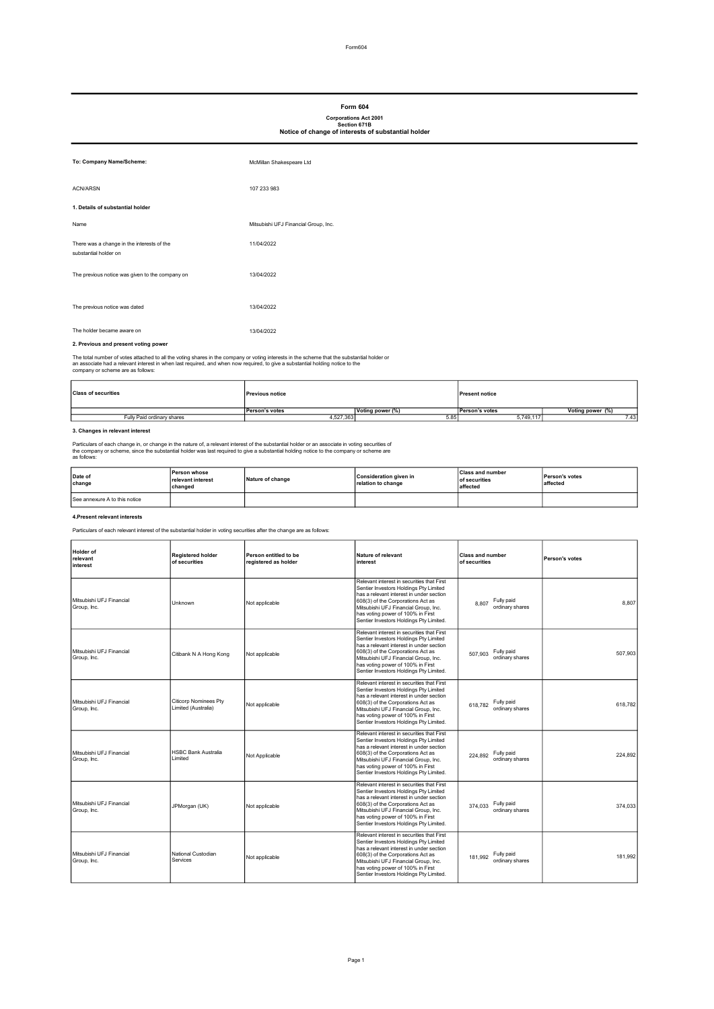### Form 604

# Corporations Act 2001 Section 671B Notice of change of interests of substantial holder

| To: Company Name/Scheme:                                            | McMillan Shakespeare Ltd             |
|---------------------------------------------------------------------|--------------------------------------|
| <b>ACN/ARSN</b>                                                     | 107 233 983                          |
| 1. Details of substantial holder                                    |                                      |
| <b>Name</b>                                                         | Mitsubishi UFJ Financial Group, Inc. |
| There was a change in the interests of the<br>substantial holder on | 11/04/2022                           |
| The previous notice was given to the company on                     | 13/04/2022                           |
| The previous notice was dated                                       | 13/04/2022                           |
| The holder became aware on                                          | 13/04/2022                           |

# 2. Previous and present voting power

The total number of votes attached to all the voting shares in the company or voting interests in the scheme that the substantial holder or<br>an associate had a relevant interest in when last required, and when now required,

| <b>Class of securities</b> | <b>Previous notice</b> |                  | <b>Present notice</b> |                   |
|----------------------------|------------------------|------------------|-----------------------|-------------------|
|                            | <b>Person's votes</b>  | Voting power (%) | <b>Person's votes</b> | Voting power (%') |
| Fully Paid ordinary shares | 4,527,363              | 5.85             | 5.749.11              | 7.43              |

### 3. Changes in relevant interest

Particulars of each change in, or change in the nature of, a relevant interest of the substantial holder or an associate in voting securities of<br>the company or scheme, since the substantial holder was last required to give

| Date of<br>change             | <b>Person whose</b><br>relevant interest<br>changed | Nature of change | Consideration given in<br>relation to change | <b>Class and number</b><br><b>of securities</b><br>laffected | <b>Person's votes</b><br>affected |
|-------------------------------|-----------------------------------------------------|------------------|----------------------------------------------|--------------------------------------------------------------|-----------------------------------|
| See annexure A to this notice |                                                     |                  |                                              |                                                              |                                   |

# 4.Present relevant interests

Particulars of each relevant interest of the substantial holder in voting securities after the change are as follows:

| Holder of<br>relevant<br>interest       | <b>Registered holder</b><br>of securities           | Person entitled to be<br>registered as holder | Nature of relevant<br>interest                                                                                                                                                                                                                                                                | <b>Class and number</b><br>of securities | Person's votes |
|-----------------------------------------|-----------------------------------------------------|-----------------------------------------------|-----------------------------------------------------------------------------------------------------------------------------------------------------------------------------------------------------------------------------------------------------------------------------------------------|------------------------------------------|----------------|
| Mitsubishi UFJ Financial<br>Group, Inc. | Unknown                                             | Not applicable                                | Relevant interest in securities that First<br>Sentier Investors Holdings Pty Limited<br>has a relevant interest in under section<br>608(3) of the Corporations Act as<br>Mitsubishi UFJ Financial Group, Inc.<br>has voting power of 100% in First<br>Sentier Investors Holdings Pty Limited. | Fully paid<br>8.807<br>ordinary shares   | 8.807          |
| Mitsubishi UFJ Financial<br>Group, Inc. | Citibank N A Hong Kong                              | Not applicable                                | Relevant interest in securities that First<br>Sentier Investors Holdings Pty Limited<br>has a relevant interest in under section<br>608(3) of the Corporations Act as<br>Mitsubishi UFJ Financial Group, Inc.<br>has voting power of 100% in First<br>Sentier Investors Holdings Pty Limited. | Fully paid<br>507.903<br>ordinary shares | 507.903        |
| Mitsubishi UFJ Financial<br>Group, Inc. | <b>Citicorp Nominees Pty</b><br>Limited (Australia) | Not applicable                                | Relevant interest in securities that First<br>Sentier Investors Holdings Pty Limited<br>has a relevant interest in under section<br>608(3) of the Corporations Act as<br>Mitsubishi UFJ Financial Group, Inc.<br>has voting power of 100% in First<br>Sentier Investors Holdings Pty Limited. | Fully paid<br>618,782<br>ordinary shares | 618.782        |
| Mitsubishi UFJ Financial<br>Group, Inc. | <b>HSBC Bank Australia</b><br>Limited               | Not Applicable                                | Relevant interest in securities that First<br>Sentier Investors Holdings Pty Limited<br>has a relevant interest in under section<br>608(3) of the Corporations Act as<br>Mitsubishi UFJ Financial Group. Inc.<br>has voting power of 100% in First<br>Sentier Investors Holdings Pty Limited. | Fully paid<br>224.892<br>ordinary shares | 224.892        |
| Mitsubishi UFJ Financial<br>Group, Inc. | JPMorgan (UK)                                       | Not applicable                                | Relevant interest in securities that First<br>Sentier Investors Holdings Pty Limited<br>has a relevant interest in under section<br>608(3) of the Corporations Act as<br>Mitsubishi UFJ Financial Group, Inc.<br>has voting power of 100% in First<br>Sentier Investors Holdings Pty Limited. | Fully paid<br>374.033<br>ordinary shares | 374.033        |
| Mitsubishi UFJ Financial<br>Group, Inc. | National Custodian<br>Services                      | Not applicable                                | Relevant interest in securities that First<br>Sentier Investors Holdings Pty Limited<br>has a relevant interest in under section<br>608(3) of the Corporations Act as<br>Mitsubishi UFJ Financial Group, Inc.<br>has voting power of 100% in First<br>Sentier Investors Holdings Pty Limited. | Fully paid<br>181.992<br>ordinary shares | 181.992        |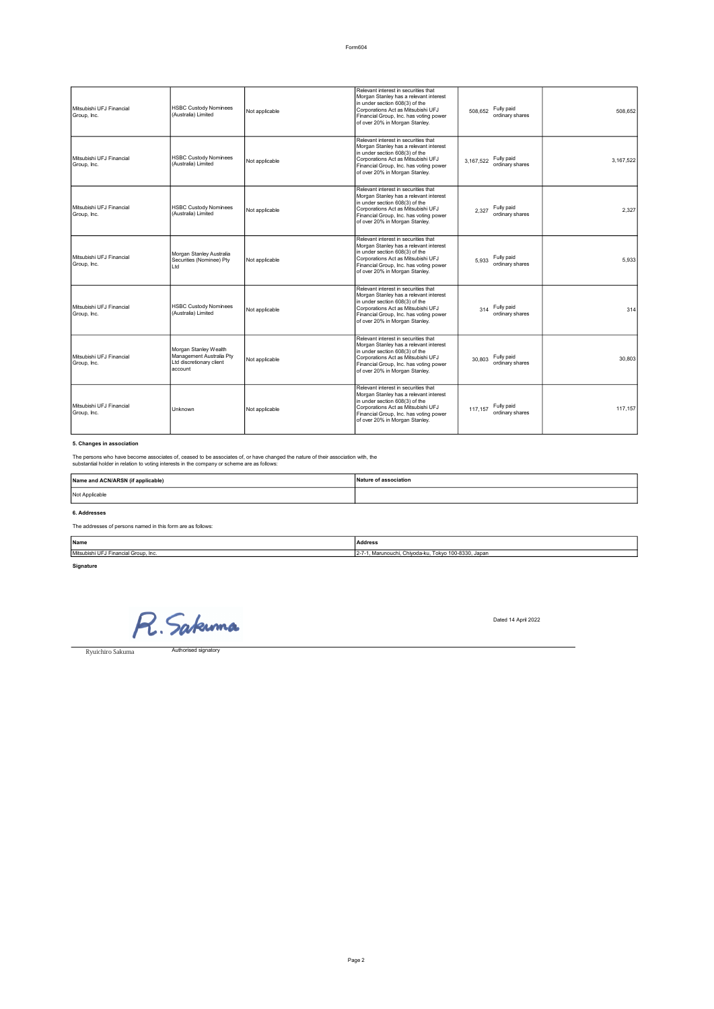| Mitsubishi UFJ Financial<br>Group, Inc. | <b>HSBC Custody Nominees</b><br>(Australia) Limited         | Not applicable | Relevant interest in securities that<br>Morgan Stanley has a relevant interest<br>in under section 608(3) of the<br>Corporations Act as Mitsubishi UFJ<br>Financial Group, Inc. has voting power<br>of over 20% in Morgan Stanley. | 508.652   | Fully paid<br>ordinary shares | 508.652   |
|-----------------------------------------|-------------------------------------------------------------|----------------|------------------------------------------------------------------------------------------------------------------------------------------------------------------------------------------------------------------------------------|-----------|-------------------------------|-----------|
| Mitsubishi UFJ Financial<br>Group, Inc. | <b>HSBC Custody Nominees</b><br>(Australia) Limited         | Not applicable | Relevant interest in securities that<br>Morgan Stanley has a relevant interest<br>in under section 608(3) of the<br>Corporations Act as Mitsubishi UFJ<br>Financial Group, Inc. has voting power<br>of over 20% in Morgan Stanley. | 3.167.522 | Fully paid<br>ordinary shares | 3.167.522 |
| Mitsubishi UFJ Financial<br>Group, Inc. | <b>HSBC Custody Nominees</b><br>(Australia) Limited         | Not applicable | Relevant interest in securities that<br>Morgan Stanley has a relevant interest<br>in under section 608(3) of the<br>Corporations Act as Mitsubishi UFJ<br>Financial Group, Inc. has voting power<br>of over 20% in Morgan Stanley. | 2.327     | Fully paid<br>ordinary shares | 2.327     |
| Mitsubishi UFJ Financial<br>Group, Inc. | Morgan Stanley Australia<br>Securities (Nominee) Pty<br>Ltd | Not applicable | Relevant interest in securities that<br>Morgan Stanley has a relevant interest<br>in under section 608(3) of the<br>Corporations Act as Mitsubishi UFJ<br>Financial Group, Inc. has voting power<br>of over 20% in Morgan Stanley. | 5.933     | Fully paid<br>ordinary shares | 5.933     |
| Mitsubishi UFJ Financial<br>Group, Inc. | <b>HSBC Custody Nominees</b><br>(Australia) Limited         | Not applicable | Relevant interest in securities that<br>Morgan Stanley has a relevant interest<br>in under section 608(3) of the<br>Corporations Act as Mitsubishi UFJ<br>Financial Group, Inc. has voting power<br>of over 20% in Morgan Stanley. | 314       | Fully paid<br>ordinary shares | 314       |

| Mitsubishi UFJ Financial<br>Group, Inc. | Morgan Stanley Wealth<br>Management Australia Pty<br>Ltd discretionary client<br>laccount | Not applicable | Relevant interest in securities that<br>Morgan Stanley has a relevant interest<br>in under section 608(3) of the<br>Corporations Act as Mitsubishi UFJ<br>Financial Group, Inc. has voting power<br>of over 20% in Morgan Stanley. | Fully paid<br>30.803<br>ordinary shares  |  |
|-----------------------------------------|-------------------------------------------------------------------------------------------|----------------|------------------------------------------------------------------------------------------------------------------------------------------------------------------------------------------------------------------------------------|------------------------------------------|--|
| Mitsubishi UEJ Financial<br>Group, Inc. | Unknown                                                                                   | Not applicable | Relevant interest in securities that<br>Morgan Stanley has a relevant interest<br>in under section 608(3) of the<br>Corporations Act as Mitsubishi UFJ<br>Financial Group, Inc. has voting power<br>of over 20% in Morgan Stanley. | Fully paid<br>117.157<br>ordinary shares |  |

#### 5. Changes in association

The persons who have become associates of, ceased to be associates of, or have changed the nature of their association with, the<br>substantial holder in relation to voting interests in the company or scheme are as follows:

# 6. Addresses The addresses of persons named in this form are as follows: Name and ACN/ARSN (if applicable) Nature of association Not Applicable

| Name                                 | <b>Address</b><br>.                                              |
|--------------------------------------|------------------------------------------------------------------|
| Mitsubishi UFJ Financial Group, Inc. | ', Marunouchi, Chiyoda-ku, Tokyo 100-8330, Japan<br>$12 - 7 - 1$ |
|                                      |                                                                  |

Signature

R. Sakuma

Dated 14 April 2022

30,803

117,157

Ryuichiro Sakuma

Authorised signatory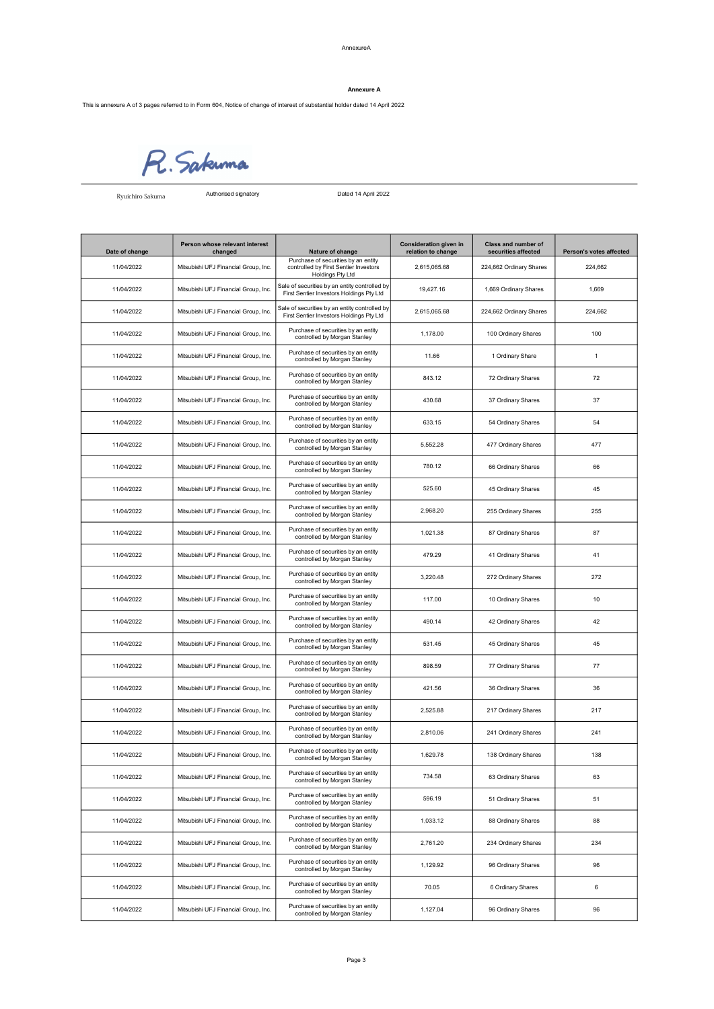#### Annexure A

This is annexure A of 3 pages referred to in Form 604, Notice of change of interest of substantial holder dated 14 April 2022



Ryuichiro Sakuma

Authorised signatory Dated Dated 14 April 2022

| Date of change | Person whose relevant interest<br>changed | Nature of change                                                                                 | <b>Consideration given in</b><br>relation to change | <b>Class and number of</b><br>securities affected | Person's votes affected |
|----------------|-------------------------------------------|--------------------------------------------------------------------------------------------------|-----------------------------------------------------|---------------------------------------------------|-------------------------|
| 11/04/2022     | Mitsubishi UFJ Financial Group, Inc.      | Purchase of securities by an entity<br>controlled by First Sentier Investors<br>Holdings Pty Ltd | 2,615,065.68                                        | 224,662 Ordinary Shares                           | 224,662                 |
| 11/04/2022     | Mitsubishi UFJ Financial Group, Inc.      | Sale of securities by an entity controlled by<br>First Sentier Investors Holdings Pty Ltd        | 19,427.16                                           | 1,669 Ordinary Shares                             | 1,669                   |
| 11/04/2022     | Mitsubishi UFJ Financial Group, Inc.      | Sale of securities by an entity controlled by<br>First Sentier Investors Holdings Pty Ltd        | 2,615,065.68                                        | 224,662 Ordinary Shares                           | 224,662                 |
| 11/04/2022     | Mitsubishi UFJ Financial Group, Inc.      | Purchase of securities by an entity<br>controlled by Morgan Stanley                              | 1,178.00                                            | 100 Ordinary Shares                               | 100                     |
| 11/04/2022     | Mitsubishi UFJ Financial Group, Inc.      | Purchase of securities by an entity<br>controlled by Morgan Stanley                              | 11.66                                               | 1 Ordinary Share                                  | $\mathbf{1}$            |
| 11/04/2022     | Mitsubishi UFJ Financial Group, Inc.      | Purchase of securities by an entity<br>controlled by Morgan Stanley                              | 843.12                                              | 72 Ordinary Shares                                | 72                      |
| 11/04/2022     | Mitsubishi UFJ Financial Group, Inc.      | Purchase of securities by an entity<br>controlled by Morgan Stanley                              | 430.68                                              | 37 Ordinary Shares                                | 37                      |
| 11/04/2022     | Mitsubishi UFJ Financial Group, Inc.      | Purchase of securities by an entity<br>controlled by Morgan Stanley                              | 633.15                                              | 54 Ordinary Shares                                | 54                      |
| 11/04/2022     | Mitsubishi UFJ Financial Group, Inc.      | Purchase of securities by an entity<br>controlled by Morgan Stanley                              | 5,552.28                                            | 477 Ordinary Shares                               | 477                     |
| 11/04/2022     | Mitsubishi UFJ Financial Group, Inc.      | Purchase of securities by an entity<br>controlled by Morgan Stanley                              | 780.12                                              | 66 Ordinary Shares                                | 66                      |
| 11/04/2022     | Mitsubishi UFJ Financial Group, Inc.      | Purchase of securities by an entity<br>controlled by Morgan Stanley                              | 525.60                                              | 45 Ordinary Shares                                | 45                      |
| 11/04/2022     | Mitsubishi UFJ Financial Group, Inc.      | Purchase of securities by an entity<br>controlled by Morgan Stanley                              | 2,968.20                                            | 255 Ordinary Shares                               | 255                     |
| 11/04/2022     | Mitsubishi UFJ Financial Group, Inc.      | Purchase of securities by an entity<br>controlled by Morgan Stanley                              | 1,021.38                                            | 87 Ordinary Shares                                | 87                      |
| 11/04/2022     | Mitsubishi UFJ Financial Group, Inc.      | Purchase of securities by an entity<br>controlled by Morgan Stanley                              | 479.29                                              | 41 Ordinary Shares                                | 41                      |
| 11/04/2022     | Mitsubishi UFJ Financial Group, Inc.      | Purchase of securities by an entity<br>controlled by Morgan Stanley                              | 3,220.48                                            | 272 Ordinary Shares                               | 272                     |
| 11/04/2022     | Mitsubishi UFJ Financial Group, Inc.      | Purchase of securities by an entity<br>controlled by Morgan Stanley                              | 117.00                                              | 10 Ordinary Shares                                | 10                      |
| 11/04/2022     | Mitsubishi UFJ Financial Group, Inc.      | Purchase of securities by an entity<br>controlled by Morgan Stanley                              | 490.14                                              | 42 Ordinary Shares                                | 42                      |
| 11/04/2022     | Mitsubishi UFJ Financial Group, Inc.      | Purchase of securities by an entity<br>controlled by Morgan Stanley                              | 531.45                                              | 45 Ordinary Shares                                | 45                      |
| 11/04/2022     | Mitsubishi UFJ Financial Group, Inc.      | Purchase of securities by an entity<br>controlled by Morgan Stanley                              | 898.59                                              | 77 Ordinary Shares                                | 77                      |
| 11/04/2022     | Mitsubishi UFJ Financial Group, Inc.      | Purchase of securities by an entity<br>controlled by Morgan Stanley                              | 421.56                                              | 36 Ordinary Shares                                | 36                      |
| 11/04/2022     | Mitsubishi UFJ Financial Group, Inc.      | Purchase of securities by an entity<br>controlled by Morgan Stanley                              | 2,525.88                                            | 217 Ordinary Shares                               | 217                     |
| 11/04/2022     | Mitsubishi UFJ Financial Group, Inc.      | Purchase of securities by an entity<br>controlled by Morgan Stanley                              | 2,810.06                                            | 241 Ordinary Shares                               | 241                     |
| 11/04/2022     | Mitsubishi UFJ Financial Group, Inc.      | Purchase of securities by an entity<br>controlled by Morgan Stanley                              | 1.629.78                                            | 138 Ordinary Shares                               | 138                     |
| 11/04/2022     | Mitsubishi UFJ Financial Group, Inc.      | Purchase of securities by an entity<br>controlled by Morgan Stanley                              | 734.58                                              | 63 Ordinary Shares                                | 63                      |
| 11/04/2022     | Mitsubishi UFJ Financial Group, Inc.      | Purchase of securities by an entity<br>controlled by Morgan Stanley                              | 596.19                                              | 51 Ordinary Shares                                | 51                      |
| 11/04/2022     | Mitsubishi UFJ Financial Group, Inc.      | Purchase of securities by an entity<br>controlled by Morgan Stanley                              | 1,033.12                                            | 88 Ordinary Shares                                | 88                      |
| 11/04/2022     | Mitsubishi UFJ Financial Group, Inc.      | Purchase of securities by an entity<br>controlled by Morgan Stanley                              | 2,761.20                                            | 234 Ordinary Shares                               | 234                     |
| 11/04/2022     | Mitsubishi UFJ Financial Group, Inc.      | Purchase of securities by an entity<br>controlled by Morgan Stanley                              | 1,129.92                                            | 96 Ordinary Shares                                | 96                      |
| 11/04/2022     | Mitsubishi UFJ Financial Group, Inc.      | Purchase of securities by an entity<br>controlled by Morgan Stanley                              | 70.05                                               | 6 Ordinary Shares                                 | 6                       |
| 11/04/2022     | Mitsubishi UFJ Financial Group, Inc.      | Purchase of securities by an entity<br>controlled by Morgan Stanley                              | 1,127.04                                            | 96 Ordinary Shares                                | 96                      |

Page 3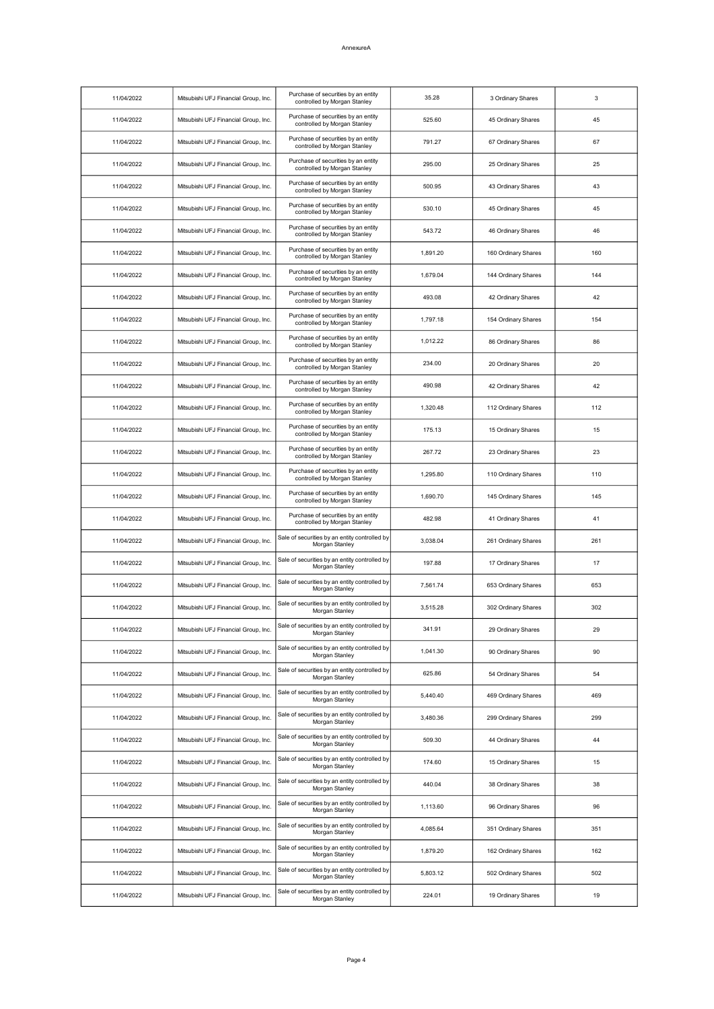# AnnexureA

| 11/04/2022 | Mitsubishi UFJ Financial Group, Inc. | Purchase of securities by an entity<br>controlled by Morgan Stanley | 35.28    | 3 Ordinary Shares   | 3   |
|------------|--------------------------------------|---------------------------------------------------------------------|----------|---------------------|-----|
| 11/04/2022 | Mitsubishi UFJ Financial Group, Inc. | Purchase of securities by an entity<br>controlled by Morgan Stanley | 525.60   | 45 Ordinary Shares  | 45  |
| 11/04/2022 | Mitsubishi UFJ Financial Group, Inc. | Purchase of securities by an entity<br>controlled by Morgan Stanley | 791.27   | 67 Ordinary Shares  | 67  |
| 11/04/2022 | Mitsubishi UFJ Financial Group, Inc. | Purchase of securities by an entity<br>controlled by Morgan Stanley | 295.00   | 25 Ordinary Shares  | 25  |
| 11/04/2022 | Mitsubishi UFJ Financial Group, Inc. | Purchase of securities by an entity<br>controlled by Morgan Stanley | 500.95   | 43 Ordinary Shares  | 43  |
| 11/04/2022 | Mitsubishi UFJ Financial Group, Inc. | Purchase of securities by an entity<br>controlled by Morgan Stanley | 530.10   | 45 Ordinary Shares  | 45  |
| 11/04/2022 | Mitsubishi UFJ Financial Group, Inc. | Purchase of securities by an entity<br>controlled by Morgan Stanley | 543.72   | 46 Ordinary Shares  | 46  |
| 11/04/2022 | Mitsubishi UFJ Financial Group, Inc. | Purchase of securities by an entity<br>controlled by Morgan Stanley | 1,891.20 | 160 Ordinary Shares | 160 |
| 11/04/2022 | Mitsubishi UFJ Financial Group, Inc. | Purchase of securities by an entity<br>controlled by Morgan Stanley | 1,679.04 | 144 Ordinary Shares | 144 |
| 11/04/2022 | Mitsubishi UFJ Financial Group, Inc. | Purchase of securities by an entity<br>controlled by Morgan Stanley | 493.08   | 42 Ordinary Shares  | 42  |
| 11/04/2022 | Mitsubishi UFJ Financial Group, Inc. | Purchase of securities by an entity<br>controlled by Morgan Stanley | 1,797.18 | 154 Ordinary Shares | 154 |
| 11/04/2022 | Mitsubishi UFJ Financial Group, Inc. | Purchase of securities by an entity<br>controlled by Morgan Stanley | 1.012.22 | 86 Ordinary Shares  | 86  |
| 11/04/2022 | Mitsubishi UFJ Financial Group, Inc. | Purchase of securities by an entity<br>controlled by Morgan Stanley | 234.00   | 20 Ordinary Shares  | 20  |
| 11/04/2022 | Mitsubishi UFJ Financial Group, Inc. | Purchase of securities by an entity<br>controlled by Morgan Stanley | 490.98   | 42 Ordinary Shares  | 42  |
| 11/04/2022 | Mitsubishi UFJ Financial Group, Inc. | Purchase of securities by an entity<br>controlled by Morgan Stanley | 1,320.48 | 112 Ordinary Shares | 112 |
| 11/04/2022 | Mitsubishi UFJ Financial Group, Inc. | Purchase of securities by an entity<br>controlled by Morgan Stanley | 175.13   | 15 Ordinary Shares  | 15  |
| 11/04/2022 | Mitsubishi UFJ Financial Group, Inc. | Purchase of securities by an entity<br>controlled by Morgan Stanley | 267.72   | 23 Ordinary Shares  | 23  |
| 11/04/2022 | Mitsubishi UFJ Financial Group, Inc. | Purchase of securities by an entity<br>controlled by Morgan Stanley | 1,295.80 | 110 Ordinary Shares | 110 |
| 11/04/2022 | Mitsubishi UFJ Financial Group, Inc. | Purchase of securities by an entity<br>controlled by Morgan Stanley | 1,690.70 | 145 Ordinary Shares | 145 |
| 11/04/2022 | Mitsubishi UFJ Financial Group, Inc. | Purchase of securities by an entity<br>controlled by Morgan Stanley | 482.98   | 41 Ordinary Shares  | 41  |
| 11/04/2022 | Mitsubishi UFJ Financial Group, Inc. | Sale of securities by an entity controlled by<br>Morgan Stanley     | 3,038.04 | 261 Ordinary Shares | 261 |
| 11/04/2022 | Mitsubishi UFJ Financial Group, Inc. | Sale of securities by an entity controlled by<br>Morgan Stanley     | 197.88   | 17 Ordinary Shares  | 17  |
| 11/04/2022 | Mitsubishi UFJ Financial Group, Inc. | Sale of securities by an entity controlled by<br>Morgan Stanley     | 7,561.74 | 653 Ordinary Shares | 653 |
| 11/04/2022 | Mitsubishi UFJ Financial Group, Inc. | Sale of securities by an entity controlled by<br>Morgan Stanley     | 3.515.28 | 302 Ordinary Shares | 302 |
| 11/04/2022 | Mitsubishi UFJ Financial Group, Inc. | Sale of securities by an entity controlled by<br>Morgan Stanley     | 341.91   | 29 Ordinary Shares  | 29  |
| 11/04/2022 | Mitsubishi UFJ Financial Group, Inc. | Sale of securities by an entity controlled by<br>Morgan Stanley     | 1,041.30 | 90 Ordinary Shares  | 90  |
| 11/04/2022 | Mitsubishi UFJ Financial Group, Inc. | Sale of securities by an entity controlled by<br>Morgan Stanley     | 625.86   | 54 Ordinary Shares  | 54  |
| 11/04/2022 | Mitsubishi UFJ Financial Group, Inc. | Sale of securities by an entity controlled by<br>Morgan Stanley     | 5,440.40 | 469 Ordinary Shares | 469 |
| 11/04/2022 | Mitsubishi UFJ Financial Group, Inc. | Sale of securities by an entity controlled by<br>Morgan Stanley     | 3,480.36 | 299 Ordinary Shares | 299 |
| 11/04/2022 | Mitsubishi UFJ Financial Group, Inc. | Sale of securities by an entity controlled by<br>Morgan Stanley     | 509.30   | 44 Ordinary Shares  | 44  |
| 11/04/2022 | Mitsubishi UFJ Financial Group, Inc. | Sale of securities by an entity controlled by<br>Morgan Stanley     | 174.60   | 15 Ordinary Shares  | 15  |
| 11/04/2022 | Mitsubishi UFJ Financial Group, Inc. | Sale of securities by an entity controlled by<br>Morgan Stanley     | 440.04   | 38 Ordinary Shares  | 38  |
| 11/04/2022 | Mitsubishi UFJ Financial Group, Inc. | Sale of securities by an entity controlled by<br>Morgan Stanley     | 1,113.60 | 96 Ordinary Shares  | 96  |
| 11/04/2022 | Mitsubishi UFJ Financial Group, Inc. | Sale of securities by an entity controlled by<br>Morgan Stanley     | 4,085.64 | 351 Ordinary Shares | 351 |
| 11/04/2022 | Mitsubishi UFJ Financial Group, Inc. | Sale of securities by an entity controlled by<br>Morgan Stanley     | 1,879.20 | 162 Ordinary Shares | 162 |
| 11/04/2022 | Mitsubishi UFJ Financial Group, Inc. | Sale of securities by an entity controlled by<br>Morgan Stanley     | 5,803.12 | 502 Ordinary Shares | 502 |
| 11/04/2022 | Mitsubishi UFJ Financial Group, Inc. | Sale of securities by an entity controlled by<br>Morgan Stanley     | 224.01   | 19 Ordinary Shares  | 19  |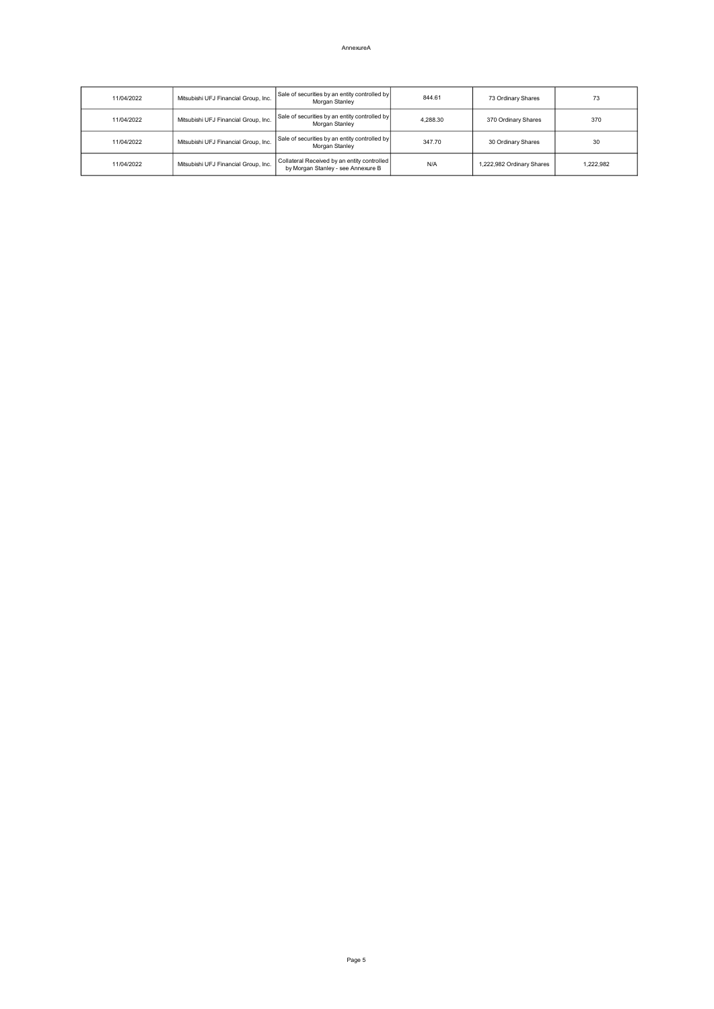AnnexureA

| 11/04/2022 | Mitsubishi UFJ Financial Group, Inc. | Sale of securities by an entity controlled by<br>Morgan Stanley                     | 844.61   | 73 Ordinary Shares        | 73        |
|------------|--------------------------------------|-------------------------------------------------------------------------------------|----------|---------------------------|-----------|
| 11/04/2022 | Mitsubishi UFJ Financial Group, Inc. | Sale of securities by an entity controlled by<br>Morgan Stanley                     | 4.288.30 | 370 Ordinary Shares       | 370       |
| 11/04/2022 | Mitsubishi UFJ Financial Group, Inc. | Sale of securities by an entity controlled by<br>Morgan Stanley                     | 347.70   | 30 Ordinary Shares        | 30        |
| 11/04/2022 | Mitsubishi UFJ Financial Group, Inc. | Collateral Received by an entity controlled  <br>by Morgan Stanley - see Annexure B | N/A      | 1.222.982 Ordinary Shares | 1.222.982 |